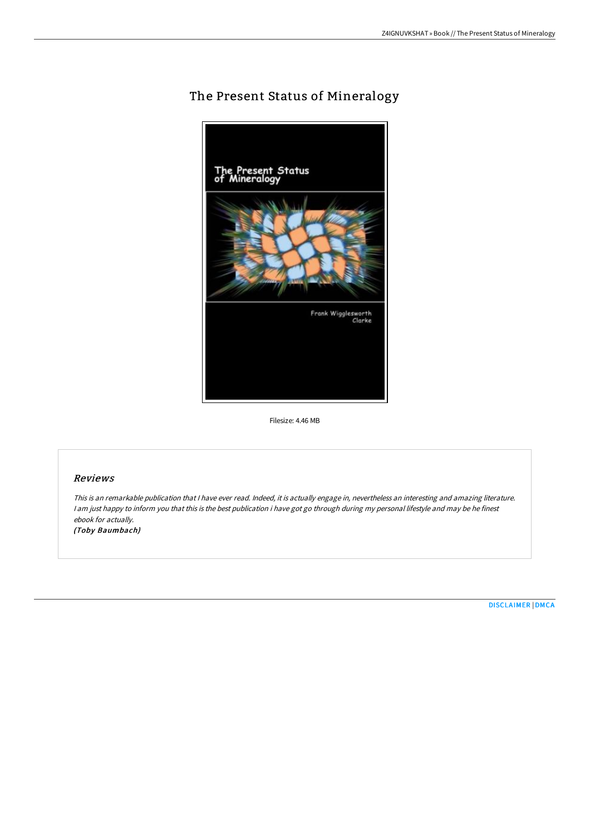## The Present Status of Mineralogy



Filesize: 4.46 MB

## Reviews

This is an remarkable publication that I have ever read. Indeed, it is actually engage in, nevertheless an interesting and amazing literature. <sup>I</sup> am just happy to inform you that this is the best publication i have got go through during my personal lifestyle and may be he finest ebook for actually.

(Toby Baumbach)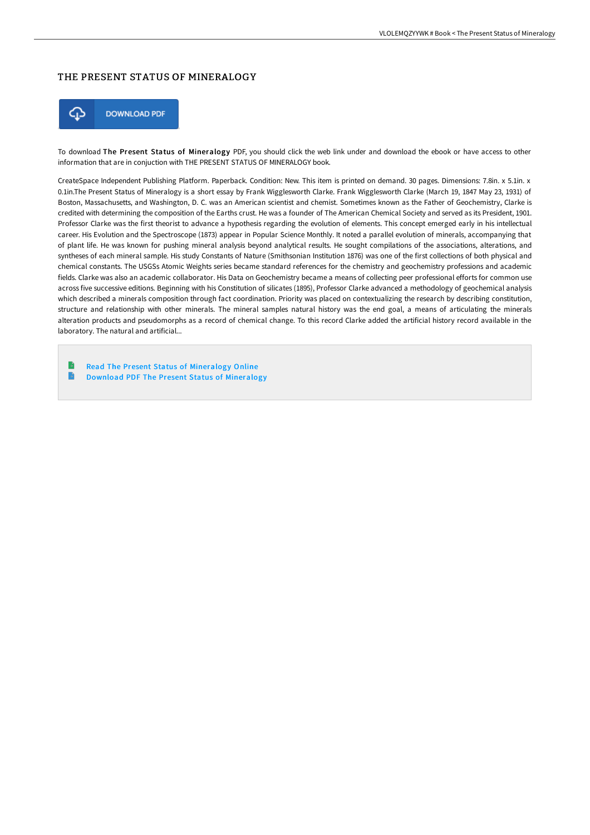## THE PRESENT STATUS OF MINERALOGY



To download The Present Status of Mineralogy PDF, you should click the web link under and download the ebook or have access to other information that are in conjuction with THE PRESENT STATUS OF MINERALOGY book.

CreateSpace Independent Publishing Platform. Paperback. Condition: New. This item is printed on demand. 30 pages. Dimensions: 7.8in. x 5.1in. x 0.1in.The Present Status of Mineralogy is a short essay by Frank Wigglesworth Clarke. Frank Wigglesworth Clarke (March 19, 1847 May 23, 1931) of Boston, Massachusetts, and Washington, D. C. was an American scientist and chemist. Sometimes known as the Father of Geochemistry, Clarke is credited with determining the composition of the Earths crust. He was a founder of The American Chemical Society and served as its President, 1901. Professor Clarke was the first theorist to advance a hypothesis regarding the evolution of elements. This concept emerged early in his intellectual career. His Evolution and the Spectroscope (1873) appear in Popular Science Monthly. It noted a parallel evolution of minerals, accompanying that of plant life. He was known for pushing mineral analysis beyond analytical results. He sought compilations of the associations, alterations, and syntheses of each mineral sample. His study Constants of Nature (Smithsonian Institution 1876) was one of the first collections of both physical and chemical constants. The USGSs Atomic Weights series became standard references for the chemistry and geochemistry professions and academic fields. Clarke was also an academic collaborator. His Data on Geochemistry became a means of collecting peer professional efforts for common use across five successive editions. Beginning with his Constitution of silicates (1895), Professor Clarke advanced a methodology of geochemical analysis which described a minerals composition through fact coordination. Priority was placed on contextualizing the research by describing constitution, structure and relationship with other minerals. The mineral samples natural history was the end goal, a means of articulating the minerals alteration products and pseudomorphs as a record of chemical change. To this record Clarke added the artificial history record available in the laboratory. The natural and artificial...

Read The Present Status of [Mineralogy](http://bookera.tech/the-present-status-of-mineralogy.html) Online B Download PDF The Present Status of [Mineralogy](http://bookera.tech/the-present-status-of-mineralogy.html)